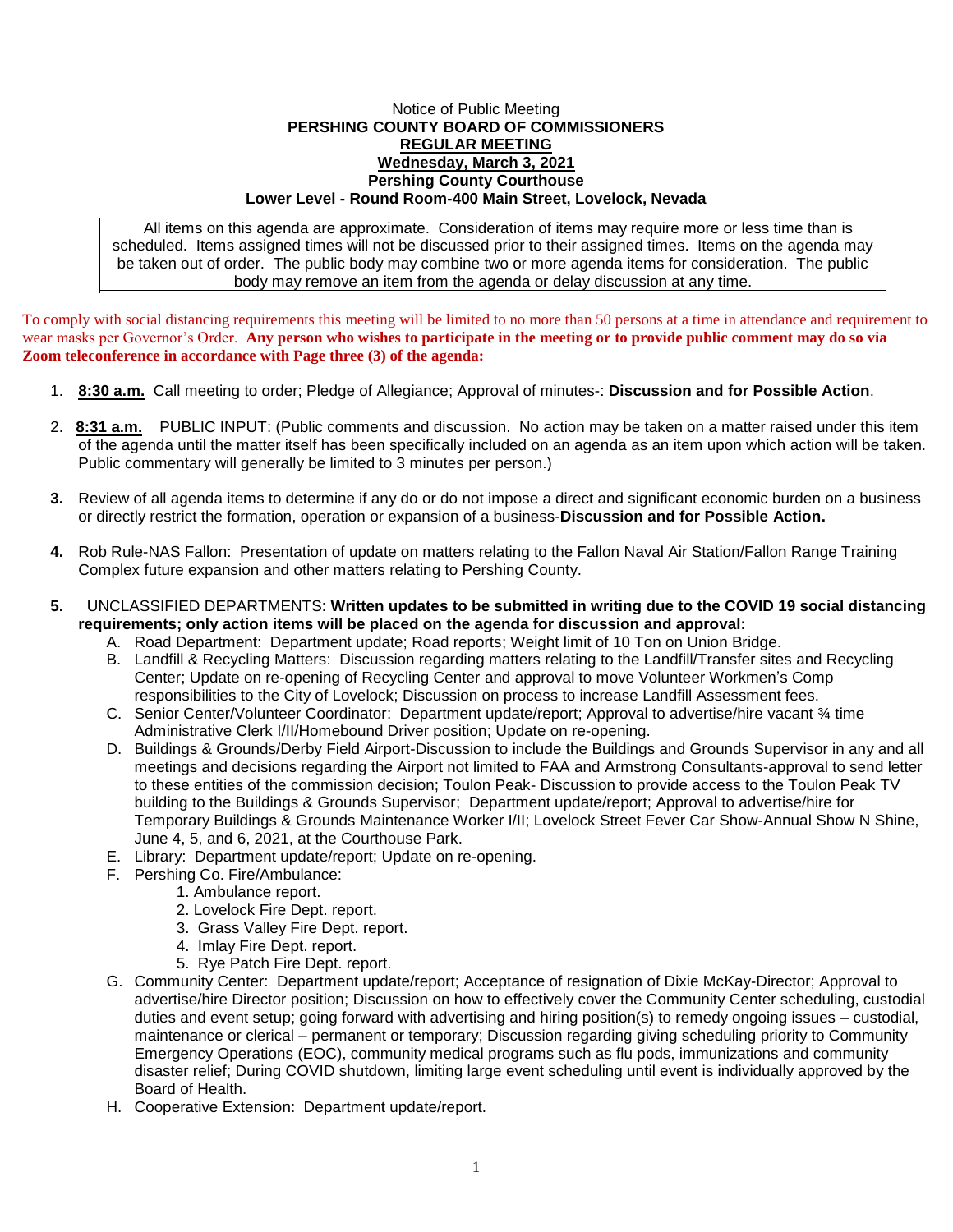## Notice of Public Meeting **PERSHING COUNTY BOARD OF COMMISSIONERS REGULAR MEETING Wednesday, March 3, 2021 Pershing County Courthouse Lower Level - Round Room-400 Main Street, Lovelock, Nevada**

All items on this agenda are approximate. Consideration of items may require more or less time than is scheduled. Items assigned times will not be discussed prior to their assigned times. Items on the agenda may be taken out of order. The public body may combine two or more agenda items for consideration. The public body may remove an item from the agenda or delay discussion at any time.

To comply with social distancing requirements this meeting will be limited to no more than 50 persons at a time in attendance and requirement to wear masks per Governor's Order. **Any person who wishes to participate in the meeting or to provide public comment may do so via Zoom teleconference in accordance with Page three (3) of the agenda:** 

- 1. **8:30 a.m.** Call meeting to order; Pledge of Allegiance; Approval of minutes-: **Discussion and for Possible Action**.
- 2. **8:31 a.m.** PUBLIC INPUT: (Public comments and discussion. No action may be taken on a matter raised under this item of the agenda until the matter itself has been specifically included on an agenda as an item upon which action will be taken. Public commentary will generally be limited to 3 minutes per person.)
- **3.** Review of all agenda items to determine if any do or do not impose a direct and significant economic burden on a business or directly restrict the formation, operation or expansion of a business-**Discussion and for Possible Action.**
- **4.** Rob Rule-NAS Fallon: Presentation of update on matters relating to the Fallon Naval Air Station/Fallon Range Training Complex future expansion and other matters relating to Pershing County.
- **5.** UNCLASSIFIED DEPARTMENTS: **Written updates to be submitted in writing due to the COVID 19 social distancing requirements; only action items will be placed on the agenda for discussion and approval:**
	- A. Road Department: Department update; Road reports; Weight limit of 10 Ton on Union Bridge.
	- B. Landfill & Recycling Matters: Discussion regarding matters relating to the Landfill/Transfer sites and Recycling Center; Update on re-opening of Recycling Center and approval to move Volunteer Workmen's Comp responsibilities to the City of Lovelock; Discussion on process to increase Landfill Assessment fees.
	- C. Senior Center/Volunteer Coordinator: Department update/report; Approval to advertise/hire vacant ¾ time Administrative Clerk I/II/Homebound Driver position; Update on re-opening.
	- D. Buildings & Grounds/Derby Field Airport-Discussion to include the Buildings and Grounds Supervisor in any and all meetings and decisions regarding the Airport not limited to FAA and Armstrong Consultants-approval to send letter to these entities of the commission decision; Toulon Peak- Discussion to provide access to the Toulon Peak TV building to the Buildings & Grounds Supervisor; Department update/report; Approval to advertise/hire for Temporary Buildings & Grounds Maintenance Worker I/II; Lovelock Street Fever Car Show-Annual Show N Shine, June 4, 5, and 6, 2021, at the Courthouse Park.
	- E. Library: Department update/report; Update on re-opening.
	- F. Pershing Co. Fire/Ambulance:
		- 1. Ambulance report.
			- 2. Lovelock Fire Dept. report.
			- 3. Grass Valley Fire Dept. report.
			- 4. Imlay Fire Dept. report.
			- 5. Rye Patch Fire Dept. report.
	- G. Community Center: Department update/report; Acceptance of resignation of Dixie McKay-Director; Approval to advertise/hire Director position; Discussion on how to effectively cover the Community Center scheduling, custodial duties and event setup; going forward with advertising and hiring position(s) to remedy ongoing issues – custodial, maintenance or clerical – permanent or temporary; Discussion regarding giving scheduling priority to Community Emergency Operations (EOC), community medical programs such as flu pods, immunizations and community disaster relief; During COVID shutdown, limiting large event scheduling until event is individually approved by the Board of Health.
	- H. Cooperative Extension: Department update/report.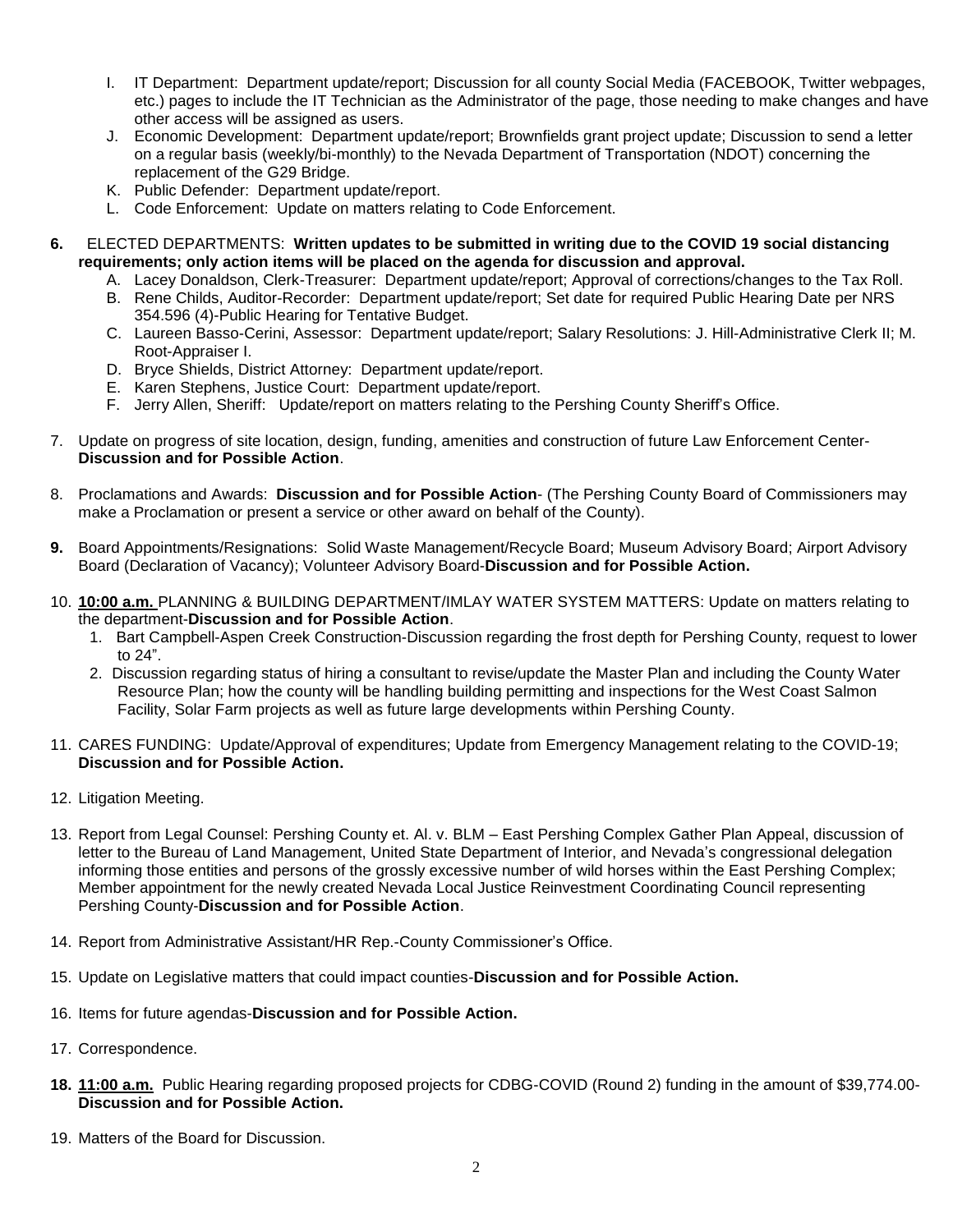- I. IT Department: Department update/report; Discussion for all county Social Media (FACEBOOK, Twitter webpages, etc.) pages to include the IT Technician as the Administrator of the page, those needing to make changes and have other access will be assigned as users.
- J. Economic Development: Department update/report; Brownfields grant project update; Discussion to send a letter on a regular basis (weekly/bi-monthly) to the Nevada Department of Transportation (NDOT) concerning the replacement of the G29 Bridge.
- K. Public Defender: Department update/report.
- L. Code Enforcement: Update on matters relating to Code Enforcement.
- **6.** ELECTED DEPARTMENTS: **Written updates to be submitted in writing due to the COVID 19 social distancing requirements; only action items will be placed on the agenda for discussion and approval.**
	- A. Lacey Donaldson, Clerk-Treasurer: Department update/report; Approval of corrections/changes to the Tax Roll.
	- B. Rene Childs, Auditor-Recorder: Department update/report; Set date for required Public Hearing Date per NRS 354.596 (4)-Public Hearing for Tentative Budget.
	- C. Laureen Basso-Cerini, Assessor: Department update/report; Salary Resolutions: J. Hill-Administrative Clerk II; M. Root-Appraiser I.
	- D. Bryce Shields, District Attorney: Department update/report.
	- E. Karen Stephens, Justice Court: Department update/report.
	- F. Jerry Allen, Sheriff: Update/report on matters relating to the Pershing County Sheriff's Office.
- 7. Update on progress of site location, design, funding, amenities and construction of future Law Enforcement Center-**Discussion and for Possible Action**.
- 8. Proclamations and Awards: **Discussion and for Possible Action** (The Pershing County Board of Commissioners may make a Proclamation or present a service or other award on behalf of the County).
- **9.** Board Appointments/Resignations: Solid Waste Management/Recycle Board; Museum Advisory Board; Airport Advisory Board (Declaration of Vacancy); Volunteer Advisory Board-**Discussion and for Possible Action.**
- 10. **10:00 a.m.** PLANNING & BUILDING DEPARTMENT/IMLAY WATER SYSTEM MATTERS: Update on matters relating to the department-**Discussion and for Possible Action**.
	- 1. Bart Campbell-Aspen Creek Construction-Discussion regarding the frost depth for Pershing County, request to lower to 24".
	- 2. Discussion regarding status of hiring a consultant to revise/update the Master Plan and including the County Water Resource Plan; how the county will be handling building permitting and inspections for the West Coast Salmon Facility, Solar Farm projects as well as future large developments within Pershing County.
- 11. CARES FUNDING: Update/Approval of expenditures; Update from Emergency Management relating to the COVID-19; **Discussion and for Possible Action.**
- 12. Litigation Meeting.
- 13. Report from Legal Counsel: Pershing County et. Al. v. BLM East Pershing Complex Gather Plan Appeal, discussion of letter to the Bureau of Land Management, United State Department of Interior, and Nevada's congressional delegation informing those entities and persons of the grossly excessive number of wild horses within the East Pershing Complex; Member appointment for the newly created Nevada Local Justice Reinvestment Coordinating Council representing Pershing County-**Discussion and for Possible Action**.
- 14. Report from Administrative Assistant/HR Rep.-County Commissioner's Office.
- 15. Update on Legislative matters that could impact counties-**Discussion and for Possible Action.**
- 16. Items for future agendas-**Discussion and for Possible Action.**
- 17. Correspondence.
- **18. 11:00 a.m.** Public Hearing regarding proposed projects for CDBG-COVID (Round 2) funding in the amount of \$39,774.00- **Discussion and for Possible Action.**
- 19. Matters of the Board for Discussion.